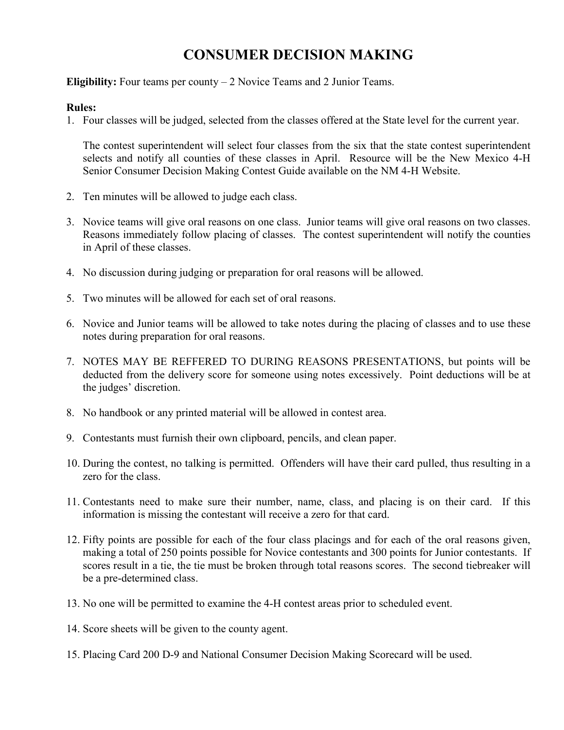# **CONSUMER DECISION MAKING**

**Eligibility:** Four teams per county – 2 Novice Teams and 2 Junior Teams.

#### **Rules:**

1. Four classes will be judged, selected from the classes offered at the State level for the current year.

The contest superintendent will select four classes from the six that the state contest superintendent selects and notify all counties of these classes in April. Resource will be the New Mexico 4-H Senior Consumer Decision Making Contest Guide available on the NM 4-H Website.

- 2. Ten minutes will be allowed to judge each class.
- 3. Novice teams will give oral reasons on one class. Junior teams will give oral reasons on two classes. Reasons immediately follow placing of classes. The contest superintendent will notify the counties in April of these classes.
- 4. No discussion during judging or preparation for oral reasons will be allowed.
- 5. Two minutes will be allowed for each set of oral reasons.
- 6. Novice and Junior teams will be allowed to take notes during the placing of classes and to use these notes during preparation for oral reasons.
- 7. NOTES MAY BE REFFERED TO DURING REASONS PRESENTATIONS, but points will be deducted from the delivery score for someone using notes excessively. Point deductions will be at the judges' discretion.
- 8. No handbook or any printed material will be allowed in contest area.
- 9. Contestants must furnish their own clipboard, pencils, and clean paper.
- 10. During the contest, no talking is permitted. Offenders will have their card pulled, thus resulting in a zero for the class.
- 11. Contestants need to make sure their number, name, class, and placing is on their card. If this information is missing the contestant will receive a zero for that card.
- 12. Fifty points are possible for each of the four class placings and for each of the oral reasons given, making a total of 250 points possible for Novice contestants and 300 points for Junior contestants. If scores result in a tie, the tie must be broken through total reasons scores. The second tiebreaker will be a pre-determined class.
- 13. No one will be permitted to examine the 4-H contest areas prior to scheduled event.
- 14. Score sheets will be given to the county agent.
- 15. Placing Card 200 D-9 and National Consumer Decision Making Scorecard will be used.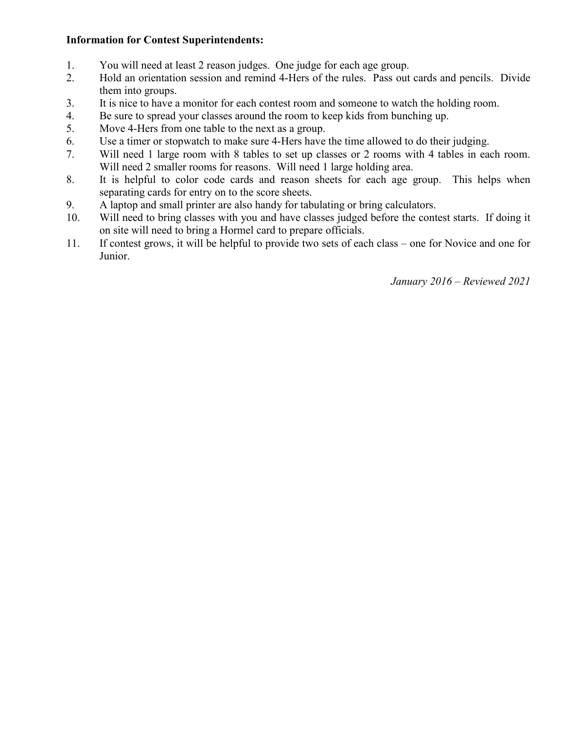### **Information for Contest Superintendents:**

- 1. You will need at least 2 reason judges. One judge for each age group.
- 2. Hold an orientation session and remind 4-Hers of the rules. Pass out cards and pencils. Divide them into groups.
- 3. It is nice to have a monitor for each contest room and someone to watch the holding room.
- 4. Be sure to spread your classes around the room to keep kids from bunching up.
- 5. Move 4-Hers from one table to the next as a group.
- 6. Use a timer or stopwatch to make sure 4-Hers have the time allowed to do their judging.
- 7. Will need 1 large room with 8 tables to set up classes or 2 rooms with 4 tables in each room. Will need 2 smaller rooms for reasons. Will need 1 large holding area.
- 8. It is helpful to color code cards and reason sheets for each age group. This helps when separating cards for entry on to the score sheets.
- 9. A laptop and small printer are also handy for tabulating or bring calculators.
- 10. Will need to bring classes with you and have classes judged before the contest starts. If doing it on site will need to bring a Hormel card to prepare officials.
- 11. If contest grows, it will be helpful to provide two sets of each class one for Novice and one for Junior.

*January 2016 – Reviewed 2021*